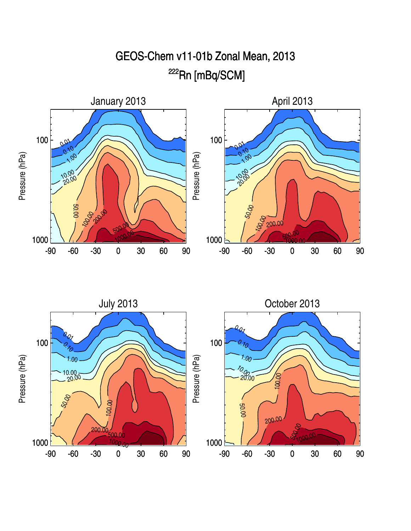



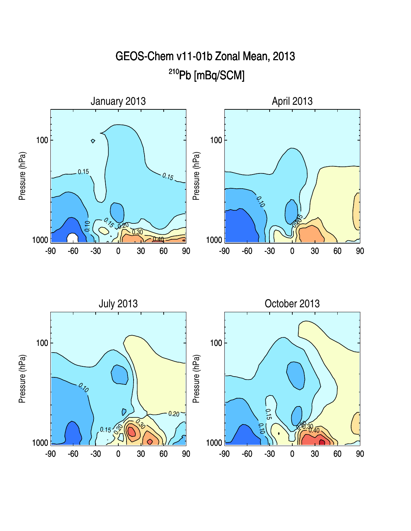